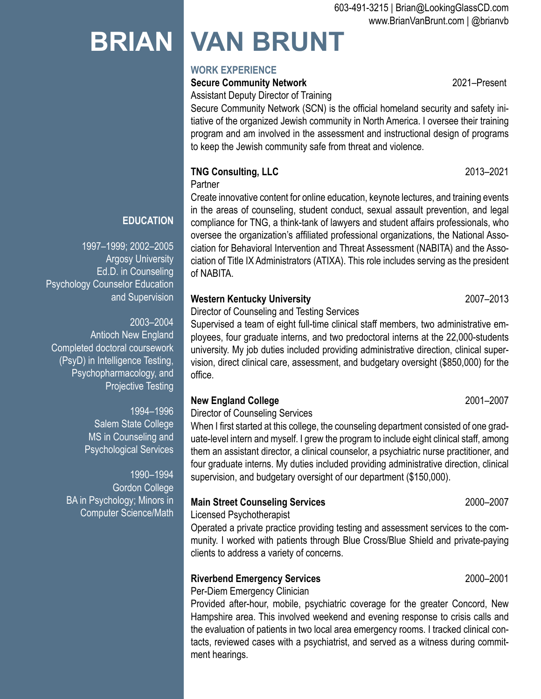# **BRIAN VAN BRUNT**

# **WORK EXPERIENCE**

## **Secure Community Network** 2021–Present

Assistant Deputy Director of Training

Secure Community Network (SCN) is the official homeland security and safety initiative of the organized Jewish community in North America. I oversee their training program and am involved in the assessment and instructional design of programs to keep the Jewish community safe from threat and violence.

**TNG Consulting, LLC** 2013–2021

**Partner** 

Create innovative content for online education, keynote lectures, and training events in the areas of counseling, student conduct, sexual assault prevention, and legal compliance for TNG, a think-tank of lawyers and student affairs professionals, who oversee the organization's affiliated professional organizations, the National Association for Behavioral Intervention and Threat Assessment (NABITA) and the Association of Title IX Administrators (ATIXA). This role includes serving as the president of NABITA.

## **Western Kentucky University** 2007–2013

Director of Counseling and Testing Services

Supervised a team of eight full-time clinical staff members, two administrative employees, four graduate interns, and two predoctoral interns at the 22,000-students university. My job duties included providing administrative direction, clinical supervision, direct clinical care, assessment, and budgetary oversight (\$850,000) for the office.

## **New England College** 2001–2007

Director of Counseling Services

When I first started at this college, the counseling department consisted of one graduate-level intern and myself. I grew the program to include eight clinical staff, among them an assistant director, a clinical counselor, a psychiatric nurse practitioner, and four graduate interns. My duties included providing administrative direction, clinical supervision, and budgetary oversight of our department (\$150,000).

## **Main Street Counseling Services** 2000–2007

Licensed Psychotherapist

Operated a private practice providing testing and assessment services to the community. I worked with patients through Blue Cross/Blue Shield and private-paying clients to address a variety of concerns.

## Riverbend Emergency Services **2000–2001**

Per-Diem Emergency Clinician

Provided after-hour, mobile, psychiatric coverage for the greater Concord, New Hampshire area. This involved weekend and evening response to crisis calls and the evaluation of patients in two local area emergency rooms. I tracked clinical contacts, reviewed cases with a psychiatrist, and served as a witness during commitment hearings.

**EDUCATION**

1997–1999; 2002–2005 Argosy University Ed.D. in Counseling Psychology Counselor Education and Supervision

2003–2004 Antioch New England Completed doctoral coursework (PsyD) in Intelligence Testing, Psychopharmacology, and Projective Testing

> 1994–1996 Salem State College MS in Counseling and Psychological Services

1990–1994 Gordon College BA in Psychology; Minors in Computer Science/Math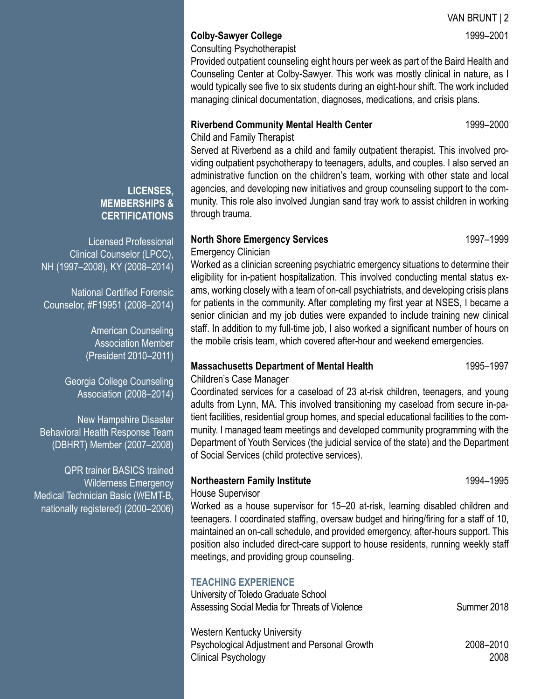VAN BRUNT | 2

### **Colby-Sawyer College** 1999–2001

Consulting Psychotherapist

Provided outpatient counseling eight hours per week as part of the Baird Health and Counseling Center at Colby-Sawyer. This work was mostly clinical in nature, as I would typically see five to six students during an eight-hour shift. The work included managing clinical documentation, diagnoses, medications, and crisis plans.

#### **Riverbend Community Mental Health Center 1999–2000**

Child and Family Therapist

Served at Riverbend as a child and family outpatient therapist. This involved providing outpatient psychotherapy to teenagers, adults, and couples. I also served an administrative function on the children's team, working with other state and local agencies, and developing new initiatives and group counseling support to the community. This role also involved Jungian sand tray work to assist children in working through trauma.

#### **North Shore Emergency Services 1997–1999**

Emergency Clinician

Worked as a clinician screening psychiatric emergency situations to determine their eligibility for in-patient hospitalization. This involved conducting mental status exams, working closely with a team of on-call psychiatrists, and developing crisis plans for patients in the community. After completing my first year at NSES, I became a senior clinician and my job duties were expanded to include training new clinical staff. In addition to my full-time job, I also worked a significant number of hours on the mobile crisis team, which covered after-hour and weekend emergencies.

#### **Massachusetts Department of Mental Health 1995–1997**

Children's Case Manager

Coordinated services for a caseload of 23 at-risk children, teenagers, and young adults from Lynn, MA. This involved transitioning my caseload from secure in-patient facilities, residential group homes, and special educational facilities to the community. I managed team meetings and developed community programming with the Department of Youth Services (the judicial service of the state) and the Department of Social Services (child protective services).

## **Northeastern Family Institute 1994–1995**

#### House Supervisor

Worked as a house supervisor for 15–20 at-risk, learning disabled children and teenagers. I coordinated staffing, oversaw budget and hiring/firing for a staff of 10, maintained an on-call schedule, and provided emergency, after-hours support. This position also included direct-care support to house residents, running weekly staff meetings, and providing group counseling.

## **TEACHING EXPERIENCE**

University of Toledo Graduate School Assessing Social Media for Threats of Violence Summer 2018

Western Kentucky University Psychological Adjustment and Personal Growth 2008–2010 Clinical Psychology 2008

#### **LICENSES, MEMBERSHIPS & CERTIFICATIONS**

Licensed Professional Clinical Counselor (LPCC), NH (1997–2008), KY (2008–2014)

National Certified Forensic Counselor, #F19951 (2008–2014)

> American Counseling Association Member (President 2010–2011)

Georgia College Counseling Association (2008–2014)

New Hampshire Disaster Behavioral Health Response Team (DBHRT) Member (2007–2008)

QPR trainer BASICS trained Wilderness Emergency Medical Technician Basic (WEMT-B, nationally registered) (2000–2006)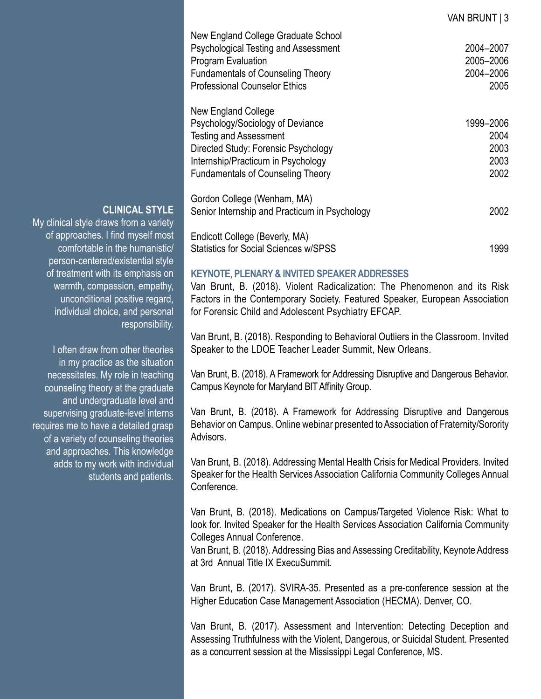| New England College Graduate School<br>Psychological Testing and Assessment<br>Program Evaluation<br><b>Fundamentals of Counseling Theory</b><br><b>Professional Counselor Ethics</b> | 2004-2007<br>2005-2006<br>2004-2006<br>2005 |
|---------------------------------------------------------------------------------------------------------------------------------------------------------------------------------------|---------------------------------------------|
| New England College                                                                                                                                                                   |                                             |
| Psychology/Sociology of Deviance                                                                                                                                                      | 1999-2006                                   |
| <b>Testing and Assessment</b>                                                                                                                                                         | 2004                                        |
| Directed Study: Forensic Psychology                                                                                                                                                   | 2003                                        |
| Internship/Practicum in Psychology                                                                                                                                                    | 2003                                        |
| <b>Fundamentals of Counseling Theory</b>                                                                                                                                              | 2002                                        |
| Gordon College (Wenham, MA)                                                                                                                                                           |                                             |
| Senior Internship and Practicum in Psychology                                                                                                                                         | 2002                                        |
| Endicott College (Beverly, MA)                                                                                                                                                        |                                             |
| <b>Statistics for Social Sciences w/SPSS</b>                                                                                                                                          | 1999                                        |

VAN BRUNT | 3

#### My clinical style draws from a variety

**CLINICAL STYLE**

of approaches. I find myself most comfortable in the humanistic/ person-centered/existential style of treatment with its emphasis on warmth, compassion, empathy, unconditional positive regard, individual choice, and personal responsibility.

I often draw from other theories in my practice as the situation necessitates. My role in teaching counseling theory at the graduate and undergraduate level and supervising graduate-level interns requires me to have a detailed grasp of a variety of counseling theories and approaches. This knowledge adds to my work with individual students and patients.

#### **KEYNOTE, PLENARY & INVITED SPEAKER ADDRESSES**

Van Brunt, B. (2018). Violent Radicalization: The Phenomenon and its Risk Factors in the Contemporary Society. Featured Speaker, European Association for Forensic Child and Adolescent Psychiatry EFCAP.

Van Brunt, B. (2018). Responding to Behavioral Outliers in the Classroom. Invited Speaker to the LDOE Teacher Leader Summit, New Orleans.

Van Brunt, B. (2018). A Framework for Addressing Disruptive and Dangerous Behavior. Campus Keynote for Maryland BIT Affinity Group.

Van Brunt, B. (2018). A Framework for Addressing Disruptive and Dangerous Behavior on Campus. Online webinar presented to Association of Fraternity/Sorority Advisors.

Van Brunt, B. (2018). Addressing Mental Health Crisis for Medical Providers. Invited Speaker for the Health Services Association California Community Colleges Annual Conference.

Van Brunt, B. (2018). Medications on Campus/Targeted Violence Risk: What to look for. Invited Speaker for the Health Services Association California Community Colleges Annual Conference.

Van Brunt, B. (2018). Addressing Bias and Assessing Creditability, Keynote Address at 3rd Annual Title IX ExecuSummit.

Van Brunt, B. (2017). SVIRA-35. Presented as a pre-conference session at the Higher Education Case Management Association (HECMA). Denver, CO.

Van Brunt, B. (2017). Assessment and Intervention: Detecting Deception and Assessing Truthfulness with the Violent, Dangerous, or Suicidal Student. Presented as a concurrent session at the Mississippi Legal Conference, MS.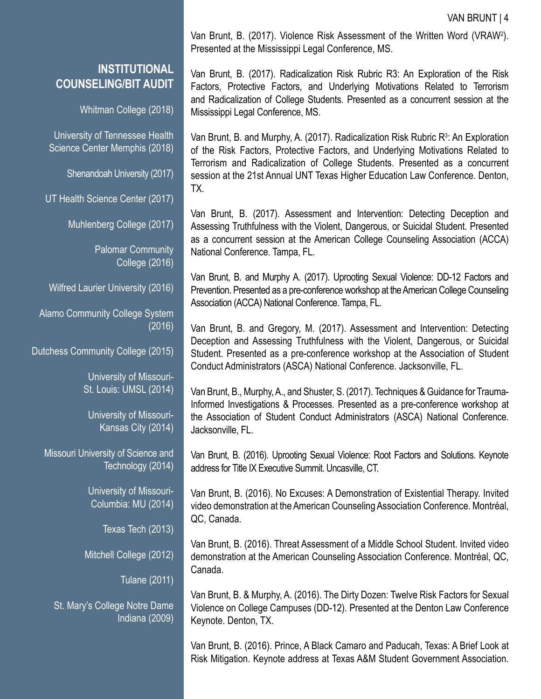#### VAN BRUNT | 4

## **INSTITUTIONAL COUNSELING/BIT AUDIT**

Whitman College (2018)

University of Tennessee Health Science Center Memphis (2018)

Shenandoah University (2017)

UT Health Science Center (2017)

Muhlenberg College (2017)

Palomar Community College (2016)

Wilfred Laurier University (2016)

Alamo Community College System (2016)

Dutchess Community College (2015)

University of Missouri-St. Louis: UMSL (2014)

University of Missouri-Kansas City (2014)

Missouri University of Science and Technology (2014)

> University of Missouri-Columbia: MU (2014)

> > Texas Tech (2013)

Mitchell College (2012)

Tulane (2011)

St. Mary's College Notre Dame Indiana (2009)

Van Brunt, B. (2017). Violence Risk Assessment of the Written Word (VRAW<sup>2</sup> ). Presented at the Mississippi Legal Conference, MS.

Van Brunt, B. (2017). Radicalization Risk Rubric R3: An Exploration of the Risk Factors, Protective Factors, and Underlying Motivations Related to Terrorism and Radicalization of College Students. Presented as a concurrent session at the Mississippi Legal Conference, MS.

Van Brunt, B. and Murphy, A. (2017). Radicalization Risk Rubric R<sup>3</sup>: An Exploration of the Risk Factors, Protective Factors, and Underlying Motivations Related to Terrorism and Radicalization of College Students. Presented as a concurrent session at the 21st Annual UNT Texas Higher Education Law Conference. Denton, TX.

Van Brunt, B. (2017). Assessment and Intervention: Detecting Deception and Assessing Truthfulness with the Violent, Dangerous, or Suicidal Student. Presented as a concurrent session at the American College Counseling Association (ACCA) National Conference. Tampa, FL.

Van Brunt, B. and Murphy A. (2017). Uprooting Sexual Violence: DD-12 Factors and Prevention. Presented as a pre-conference workshop at the American College Counseling Association (ACCA) National Conference. Tampa, FL.

Van Brunt, B. and Gregory, M. (2017). Assessment and Intervention: Detecting Deception and Assessing Truthfulness with the Violent, Dangerous, or Suicidal Student. Presented as a pre-conference workshop at the Association of Student Conduct Administrators (ASCA) National Conference. Jacksonville, FL.

Van Brunt, B., Murphy, A., and Shuster, S. (2017). Techniques & Guidance for Trauma-Informed Investigations & Processes. Presented as a pre-conference workshop at the Association of Student Conduct Administrators (ASCA) National Conference. Jacksonville, FL.

Van Brunt, B. (2016). Uprooting Sexual Violence: Root Factors and Solutions. Keynote address for Title IX Executive Summit. Uncasville, CT.

Van Brunt, B. (2016). No Excuses: A Demonstration of Existential Therapy. Invited video demonstration at the American Counseling Association Conference. Montréal, QC, Canada.

Van Brunt, B. (2016). Threat Assessment of a Middle School Student. Invited video demonstration at the American Counseling Association Conference. Montréal, QC, Canada.

Van Brunt, B. & Murphy, A. (2016). The Dirty Dozen: Twelve Risk Factors for Sexual Violence on College Campuses (DD-12). Presented at the Denton Law Conference Keynote. Denton, TX.

Van Brunt, B. (2016). Prince, A Black Camaro and Paducah, Texas: A Brief Look at Risk Mitigation. Keynote address at Texas A&M Student Government Association.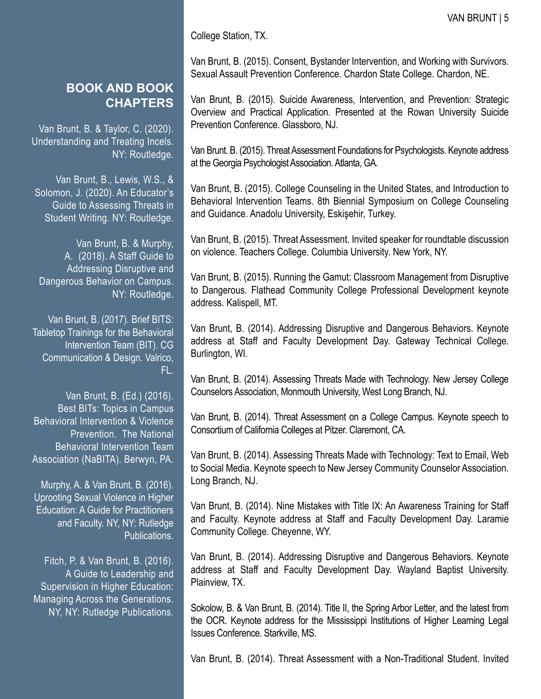College Station, TX.

Van Brunt, B. (2015). Consent, Bystander Intervention, and Working with Survivors. Sexual Assault Prevention Conference. Chardon State College. Chardon, NE.

Van Brunt, B. (2015). Suicide Awareness, Intervention, and Prevention: Strategic Overview and Practical Application. Presented at the Rowan University Suicide Prevention Conference. Glassboro, NJ.

Van Brunt. B. (2015). Threat Assessment Foundations for Psychologists. Keynote address at the Georgia Psychologist Association. Atlanta, GA.

Van Brunt, B. (2015). College Counseling in the United States, and Introduction to Behavioral Intervention Teams. 8th Biennial Symposium on College Counseling and Guidance. Anadolu University, Eskişehir, Turkey.

Van Brunt, B. (2015). Threat Assessment. Invited speaker for roundtable discussion on violence. Teachers College. Columbia University. New York, NY.

Van Brunt, B. (2015). Running the Gamut: Classroom Management from Disruptive to Dangerous. Flathead Community College Professional Development keynote address. Kalispell, MT.

Van Brunt, B. (2014). Addressing Disruptive and Dangerous Behaviors. Keynote address at Staff and Faculty Development Day. Gateway Technical College. Burlington, WI.

Van Brunt, B. (2014). Assessing Threats Made with Technology. New Jersey College Counselors Association, Monmouth University, West Long Branch, NJ.

Van Brunt, B. (2014). Threat Assessment on a College Campus. Keynote speech to Consortium of California Colleges at Pitzer. Claremont, CA.

Van Brunt, B. (2014). Assessing Threats Made with Technology: Text to Email, Web to Social Media. Keynote speech to New Jersey Community Counselor Association. Long Branch, NJ.

Van Brunt, B. (2014). Nine Mistakes with Title IX: An Awareness Training for Staff and Faculty. Keynote address at Staff and Faculty Development Day. Laramie Community College. Cheyenne, WY.

Van Brunt, B. (2014). Addressing Disruptive and Dangerous Behaviors. Keynote address at Staff and Faculty Development Day. Wayland Baptist University. Plainview, TX.

Sokolow, B. & Van Brunt, B. (2014). Title II, the Spring Arbor Letter, and the latest from the OCR. Keynote address for the Mississippi Institutions of Higher Learning Legal Issues Conference. Starkville, MS.

Van Brunt, B. (2014). Threat Assessment with a Non-Traditional Student. Invited

## **BOOK AND BOOK CHAPTERS**

Van Brunt, B. & Taylor, C. (2020). Understanding and Treating Incels. NY: Routledge.

Van Brunt, B., Lewis, W.S., & Solomon, J. (2020). An Educator's Guide to Assessing Threats in Student Writing. NY: Routledge.

Van Brunt, B. & Murphy, A. (2018). A Staff Guide to Addressing Disruptive and Dangerous Behavior on Campus. NY: Routledge.

Van Brunt, B. (2017). Brief BITS: Tabletop Trainings for the Behavioral Intervention Team (BIT). CG Communication & Design. Valrico, FL.

Van Brunt, B. (Ed.) (2016). Best BITs: Topics in Campus Behavioral Intervention & Violence Prevention. The National Behavioral Intervention Team Association (NaBITA). Berwyn, PA.

Murphy, A. & Van Brunt, B. (2016). Uprooting Sexual Violence in Higher Education: A Guide for Practitioners and Faculty. NY, NY: Rutledge Publications.

Fitch, P. & Van Brunt, B. (2016). A Guide to Leadership and Supervision in Higher Education: Managing Across the Generations. NY, NY: Rutledge Publications.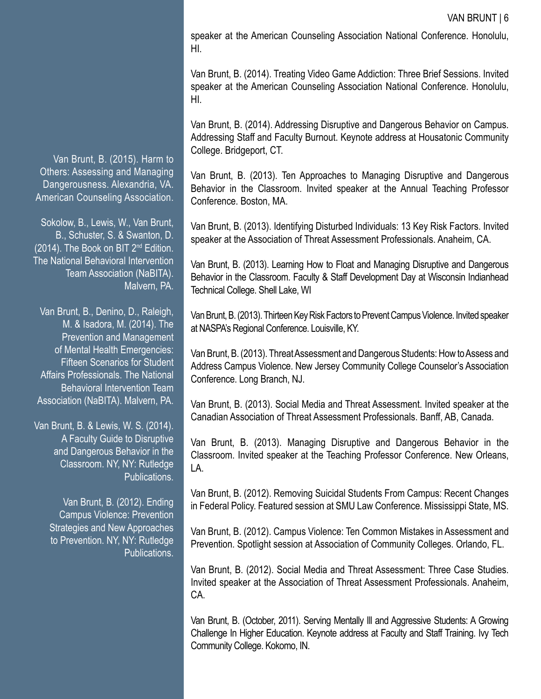speaker at the American Counseling Association National Conference. Honolulu, HI.

Van Brunt, B. (2014). Treating Video Game Addiction: Three Brief Sessions. Invited speaker at the American Counseling Association National Conference. Honolulu, HI.

Van Brunt, B. (2014). Addressing Disruptive and Dangerous Behavior on Campus. Addressing Staff and Faculty Burnout. Keynote address at Housatonic Community College. Bridgeport, CT.

Van Brunt, B. (2013). Ten Approaches to Managing Disruptive and Dangerous Behavior in the Classroom. Invited speaker at the Annual Teaching Professor Conference. Boston, MA.

Van Brunt, B. (2013). Identifying Disturbed Individuals: 13 Key Risk Factors. Invited speaker at the Association of Threat Assessment Professionals. Anaheim, CA.

Van Brunt, B. (2013). Learning How to Float and Managing Disruptive and Dangerous Behavior in the Classroom. Faculty & Staff Development Day at Wisconsin Indianhead Technical College. Shell Lake, WI

Van Brunt, B. (2013). Thirteen Key Risk Factors to Prevent Campus Violence. Invited speaker at NASPA's Regional Conference. Louisville, KY.

Van Brunt, B. (2013). Threat Assessment and Dangerous Students: How to Assess and Address Campus Violence. New Jersey Community College Counselor's Association Conference. Long Branch, NJ.

Van Brunt, B. (2013). Social Media and Threat Assessment. Invited speaker at the Canadian Association of Threat Assessment Professionals. Banff, AB, Canada.

Van Brunt, B. (2013). Managing Disruptive and Dangerous Behavior in the Classroom. Invited speaker at the Teaching Professor Conference. New Orleans, LA.

Van Brunt, B. (2012). Removing Suicidal Students From Campus: Recent Changes in Federal Policy. Featured session at SMU Law Conference. Mississippi State, MS.

Van Brunt, B. (2012). Campus Violence: Ten Common Mistakes in Assessment and Prevention. Spotlight session at Association of Community Colleges. Orlando, FL.

Van Brunt, B. (2012). Social Media and Threat Assessment: Three Case Studies. Invited speaker at the Association of Threat Assessment Professionals. Anaheim, CA.

Van Brunt, B. (October, 2011). Serving Mentally Ill and Aggressive Students: A Growing Challenge In Higher Education. Keynote address at Faculty and Staff Training. Ivy Tech Community College. Kokomo, IN.

Van Brunt, B. (2015). Harm to Others: Assessing and Managing Dangerousness. Alexandria, VA. American Counseling Association.

Sokolow, B., Lewis, W., Van Brunt, B., Schuster, S. & Swanton, D. (2014). The Book on BIT 2nd Edition. The National Behavioral Intervention Team Association (NaBITA). Malvern, PA.

Van Brunt, B., Denino, D., Raleigh, M. & Isadora, M. (2014). The Prevention and Management of Mental Health Emergencies: Fifteen Scenarios for Student Affairs Professionals. The National Behavioral Intervention Team Association (NaBITA). Malvern, PA.

Van Brunt, B. & Lewis, W. S. (2014). A Faculty Guide to Disruptive and Dangerous Behavior in the Classroom. NY, NY: Rutledge Publications.

Van Brunt, B. (2012). Ending Campus Violence: Prevention Strategies and New Approaches to Prevention. NY, NY: Rutledge Publications.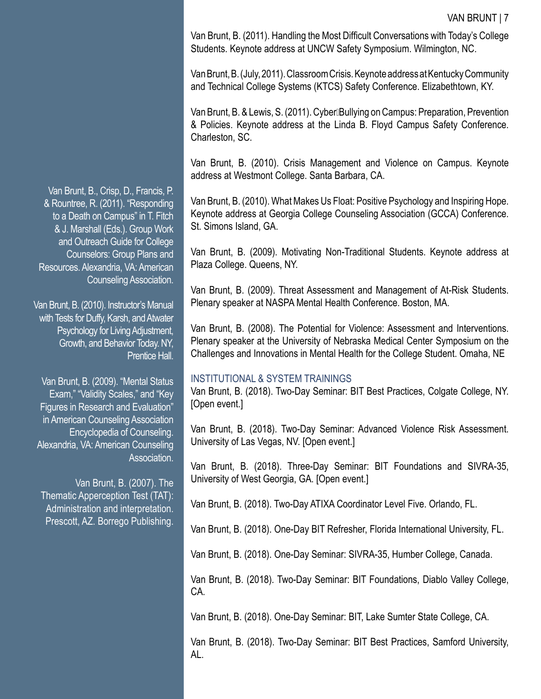Van Brunt, B. (2011). Handling the Most Difficult Conversations with Today's College Students. Keynote address at UNCW Safety Symposium. Wilmington, NC.

Van Brunt, B. (July, 2011). Classroom Crisis. Keynote address at Kentucky Community and Technical College Systems (KTCS) Safety Conference. Elizabethtown, KY.

Van Brunt, B. & Lewis, S. (2011). Cyber Bullying on Campus: Preparation, Prevention & Policies. Keynote address at the Linda B. Floyd Campus Safety Conference. Charleston, SC.

Van Brunt, B. (2010). Crisis Management and Violence on Campus. Keynote address at Westmont College. Santa Barbara, CA.

Van Brunt, B. (2010). What Makes Us Float: Positive Psychology and Inspiring Hope. Keynote address at Georgia College Counseling Association (GCCA) Conference. St. Simons Island, GA.

Van Brunt, B. (2009). Motivating Non-Traditional Students. Keynote address at Plaza College. Queens, NY.

Van Brunt, B. (2009). Threat Assessment and Management of At-Risk Students. Plenary speaker at NASPA Mental Health Conference. Boston, MA.

Van Brunt, B. (2008). The Potential for Violence: Assessment and Interventions. Plenary speaker at the University of Nebraska Medical Center Symposium on the Challenges and Innovations in Mental Health for the College Student. Omaha, NE

#### INSTITUTIONAL & SYSTEM TRAININGS

Van Brunt, B. (2018). Two-Day Seminar: BIT Best Practices, Colgate College, NY. [Open event.]

Van Brunt, B. (2018). Two-Day Seminar: Advanced Violence Risk Assessment. University of Las Vegas, NV. [Open event.]

Van Brunt, B. (2018). Three-Day Seminar: BIT Foundations and SIVRA-35, University of West Georgia, GA. [Open event.]

Van Brunt, B. (2018). Two-Day ATIXA Coordinator Level Five. Orlando, FL.

Van Brunt, B. (2018). One-Day BIT Refresher, Florida International University, FL.

Van Brunt, B. (2018). One-Day Seminar: SIVRA-35, Humber College, Canada.

Van Brunt, B. (2018). Two-Day Seminar: BIT Foundations, Diablo Valley College, CA.

Van Brunt, B. (2018). One-Day Seminar: BIT, Lake Sumter State College, CA.

Van Brunt, B. (2018). Two-Day Seminar: BIT Best Practices, Samford University, AL.

Van Brunt, B., Crisp, D., Francis, P. & Rountree, R. (2011). "Responding to a Death on Campus" in T. Fitch & J. Marshall (Eds.). Group Work and Outreach Guide for College Counselors: Group Plans and Resources. Alexandria, VA: American Counseling Association.

Van Brunt, B. (2010). Instructor's Manual with Tests for Duffy, Karsh, and Atwater Psychology for Living Adjustment, Growth, and Behavior Today. NY, Prentice Hall.

Van Brunt, B. (2009). "Mental Status Exam," "Validity Scales," and "Key Figures in Research and Evaluation" in American Counseling Association Encyclopedia of Counseling. Alexandria, VA: American Counseling Association.

Van Brunt, B. (2007). The Thematic Apperception Test (TAT): Administration and interpretation. Prescott, AZ. Borrego Publishing.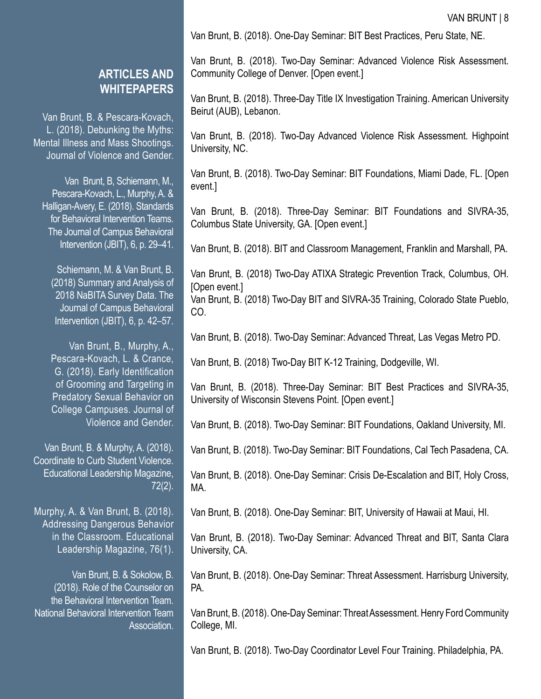Van Brunt, B. (2018). One-Day Seminar: BIT Best Practices, Peru State, NE.

**ARTICLES AND WHITEPAPERS**

Van Brunt, B. & Pescara-Kovach, L. (2018). Debunking the Myths: Mental Illness and Mass Shootings. Journal of Violence and Gender.

Van Brunt, B, Schiemann, M., Pescara-Kovach, L., Murphy, A. & Halligan-Avery, E. (2018). Standards for Behavioral Intervention Teams. The Journal of Campus Behavioral Intervention (JBIT), 6, p. 29–41.

Schiemann, M. & Van Brunt, B. (2018) Summary and Analysis of 2018 NaBITA Survey Data. The Journal of Campus Behavioral Intervention (JBIT), 6, p. 42–57.

Van Brunt, B., Murphy, A., Pescara-Kovach, L. & Crance, G. (2018). Early Identification of Grooming and Targeting in Predatory Sexual Behavior on College Campuses. Journal of Violence and Gender.

Van Brunt, B. & Murphy, A. (2018). Coordinate to Curb Student Violence. Educational Leadership Magazine, 72(2).

Murphy, A. & Van Brunt, B. (2018). Addressing Dangerous Behavior in the Classroom. Educational Leadership Magazine, 76(1).

Van Brunt, B. & Sokolow, B. (2018). Role of the Counselor on the Behavioral Intervention Team. National Behavioral Intervention Team Association. Van Brunt, B. (2018). Two-Day Seminar: Advanced Violence Risk Assessment. Community College of Denver. [Open event.]

Van Brunt, B. (2018). Three-Day Title IX Investigation Training. American University Beirut (AUB), Lebanon.

Van Brunt, B. (2018). Two-Day Advanced Violence Risk Assessment. Highpoint University, NC.

Van Brunt, B. (2018). Two-Day Seminar: BIT Foundations, Miami Dade, FL. [Open event.]

Van Brunt, B. (2018). Three-Day Seminar: BIT Foundations and SIVRA-35, Columbus State University, GA. [Open event.]

Van Brunt, B. (2018). BIT and Classroom Management, Franklin and Marshall, PA.

Van Brunt, B. (2018) Two-Day ATIXA Strategic Prevention Track, Columbus, OH. [Open event.]

Van Brunt, B. (2018) Two-Day BIT and SIVRA-35 Training, Colorado State Pueblo, CO.

Van Brunt, B. (2018). Two-Day Seminar: Advanced Threat, Las Vegas Metro PD.

Van Brunt, B. (2018) Two-Day BIT K-12 Training, Dodgeville, WI.

Van Brunt, B. (2018). Three-Day Seminar: BIT Best Practices and SIVRA-35, University of Wisconsin Stevens Point. [Open event.]

Van Brunt, B. (2018). Two-Day Seminar: BIT Foundations, Oakland University, MI.

Van Brunt, B. (2018). Two-Day Seminar: BIT Foundations, Cal Tech Pasadena, CA.

Van Brunt, B. (2018). One-Day Seminar: Crisis De-Escalation and BIT, Holy Cross, MA.

Van Brunt, B. (2018). One-Day Seminar: BIT, University of Hawaii at Maui, HI.

Van Brunt, B. (2018). Two-Day Seminar: Advanced Threat and BIT, Santa Clara University, CA.

Van Brunt, B. (2018). One-Day Seminar: Threat Assessment. Harrisburg University, PA.

Van Brunt, B. (2018). One-Day Seminar: Threat Assessment. Henry Ford Community College, MI.

Van Brunt, B. (2018). Two-Day Coordinator Level Four Training. Philadelphia, PA.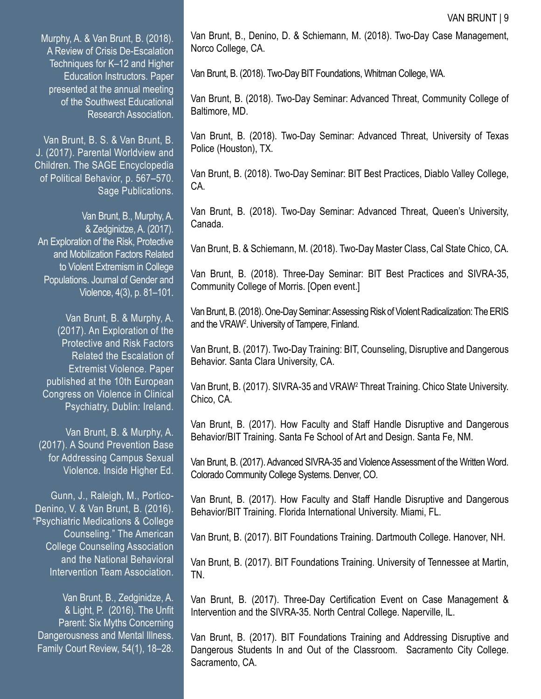Murphy, A. & Van Brunt, B. (2018). A Review of Crisis De-Escalation Techniques for K–12 and Higher Education Instructors. Paper presented at the annual meeting of the Southwest Educational Research Association.

Van Brunt, B. S. & Van Brunt, B. J. (2017). Parental Worldview and Children. The SAGE Encyclopedia of Political Behavior, p. 567–570. Sage Publications.

Van Brunt, B., Murphy, A. & Zedginidze, A. (2017). An Exploration of the Risk, Protective and Mobilization Factors Related to Violent Extremism in College Populations. Journal of Gender and Violence, 4(3), p. 81–101.

Van Brunt, B. & Murphy, A. (2017). An Exploration of the Protective and Risk Factors Related the Escalation of Extremist Violence. Paper published at the 10th European Congress on Violence in Clinical Psychiatry, Dublin: Ireland.

Van Brunt, B. & Murphy, A. (2017). A Sound Prevention Base for Addressing Campus Sexual Violence. Inside Higher Ed.

Gunn, J., Raleigh, M., Portico-Denino, V. & Van Brunt, B. (2016). "Psychiatric Medications & College Counseling." The American College Counseling Association and the National Behavioral Intervention Team Association.

Van Brunt, B., Zedginidze, A. & Light, P. (2016). The Unfit Parent: Six Myths Concerning Dangerousness and Mental Illness. Family Court Review, 54(1), 18–28. Van Brunt, B., Denino, D. & Schiemann, M. (2018). Two-Day Case Management, Norco College, CA.

Van Brunt, B. (2018). Two-Day BIT Foundations, Whitman College, WA.

Van Brunt, B. (2018). Two-Day Seminar: Advanced Threat, Community College of Baltimore, MD.

Van Brunt, B. (2018). Two-Day Seminar: Advanced Threat, University of Texas Police (Houston), TX.

Van Brunt, B. (2018). Two-Day Seminar: BIT Best Practices, Diablo Valley College, CA.

Van Brunt, B. (2018). Two-Day Seminar: Advanced Threat, Queen's University, Canada.

Van Brunt, B. & Schiemann, M. (2018). Two-Day Master Class, Cal State Chico, CA.

Van Brunt, B. (2018). Three-Day Seminar: BIT Best Practices and SIVRA-35, Community College of Morris. [Open event.]

Van Brunt, B. (2018). One-Day Seminar: Assessing Risk of Violent Radicalization: The ERIS and the VRAW<sup>2</sup> . University of Tampere, Finland.

Van Brunt, B. (2017). Two-Day Training: BIT, Counseling, Disruptive and Dangerous Behavior. Santa Clara University, CA.

Van Brunt, B. (2017). SIVRA-35 and VRAW<sup>2</sup> Threat Training. Chico State University. Chico, CA.

Van Brunt, B. (2017). How Faculty and Staff Handle Disruptive and Dangerous Behavior/BIT Training. Santa Fe School of Art and Design. Santa Fe, NM.

Van Brunt, B. (2017). Advanced SIVRA-35 and Violence Assessment of the Written Word. Colorado Community College Systems. Denver, CO.

Van Brunt, B. (2017). How Faculty and Staff Handle Disruptive and Dangerous Behavior/BIT Training. Florida International University. Miami, FL.

Van Brunt, B. (2017). BIT Foundations Training. Dartmouth College. Hanover, NH.

Van Brunt, B. (2017). BIT Foundations Training. University of Tennessee at Martin, TN.

Van Brunt, B. (2017). Three-Day Certification Event on Case Management & Intervention and the SIVRA-35. North Central College. Naperville, IL.

Van Brunt, B. (2017). BIT Foundations Training and Addressing Disruptive and Dangerous Students In and Out of the Classroom. Sacramento City College. Sacramento, CA.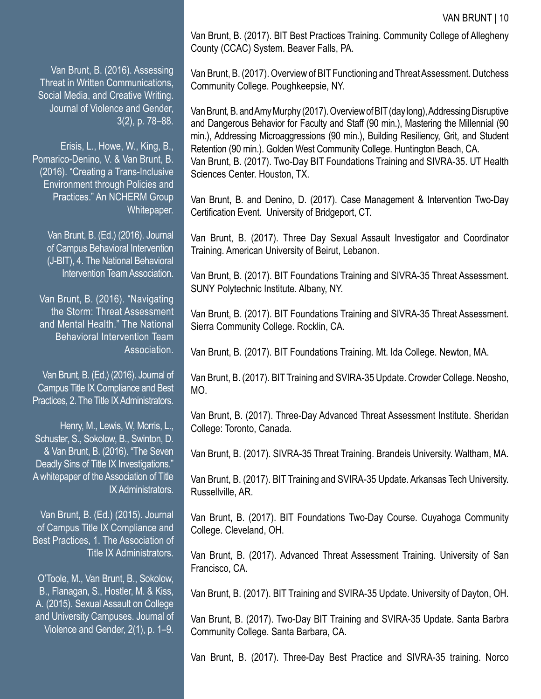Van Brunt, B. (2016). Assessing Threat in Written Communications, Social Media, and Creative Writing. Journal of Violence and Gender, 3(2), p. 78–88.

Erisis, L., Howe, W., King, B., Pomarico-Denino, V. & Van Brunt, B. (2016). "Creating a Trans-Inclusive Environment through Policies and Practices." An NCHERM Group Whitepaper.

Van Brunt, B. (Ed.) (2016). Journal of Campus Behavioral Intervention (J-BIT), 4. The National Behavioral Intervention Team Association.

Van Brunt, B. (2016). "Navigating the Storm: Threat Assessment and Mental Health." The National Behavioral Intervention Team Association.

Van Brunt, B. (Ed.) (2016). Journal of Campus Title IX Compliance and Best Practices, 2. The Title IX Administrators.

Henry, M., Lewis, W, Morris, L., Schuster, S., Sokolow, B., Swinton, D. & Van Brunt, B. (2016). "The Seven Deadly Sins of Title IX Investigations." A whitepaper of the Association of Title IX Administrators.

Van Brunt, B. (Ed.) (2015). Journal of Campus Title IX Compliance and Best Practices, 1. The Association of Title IX Administrators.

O'Toole, M., Van Brunt, B., Sokolow, B., Flanagan, S., Hostler, M. & Kiss, A. (2015). Sexual Assault on College and University Campuses. Journal of Violence and Gender, 2(1), p. 1–9. Van Brunt, B. (2017). BIT Best Practices Training. Community College of Allegheny County (CCAC) System. Beaver Falls, PA.

Van Brunt, B. (2017). Overview of BIT Functioning and Threat Assessment. Dutchess Community College. Poughkeepsie, NY.

Van Brunt, B. and Amy Murphy (2017). Overview of BIT (day long), Addressing Disruptive and Dangerous Behavior for Faculty and Staff (90 min.), Mastering the Millennial (90 min.), Addressing Microaggressions (90 min.), Building Resiliency, Grit, and Student Retention (90 min.). Golden West Community College. Huntington Beach, CA. Van Brunt, B. (2017). Two-Day BIT Foundations Training and SIVRA-35. UT Health Sciences Center. Houston, TX.

Van Brunt, B. and Denino, D. (2017). Case Management & Intervention Two-Day Certification Event. University of Bridgeport, CT.

Van Brunt, B. (2017). Three Day Sexual Assault Investigator and Coordinator Training. American University of Beirut, Lebanon.

Van Brunt, B. (2017). BIT Foundations Training and SIVRA-35 Threat Assessment. SUNY Polytechnic Institute. Albany, NY.

Van Brunt, B. (2017). BIT Foundations Training and SIVRA-35 Threat Assessment. Sierra Community College. Rocklin, CA.

Van Brunt, B. (2017). BIT Foundations Training. Mt. Ida College. Newton, MA.

Van Brunt, B. (2017). BIT Training and SVIRA-35 Update. Crowder College. Neosho, MO.

Van Brunt, B. (2017). Three-Day Advanced Threat Assessment Institute. Sheridan College: Toronto, Canada.

Van Brunt, B. (2017). SIVRA-35 Threat Training. Brandeis University. Waltham, MA.

Van Brunt, B. (2017). BIT Training and SVIRA-35 Update. Arkansas Tech University. Russellville, AR.

Van Brunt, B. (2017). BIT Foundations Two-Day Course. Cuyahoga Community College. Cleveland, OH.

Van Brunt, B. (2017). Advanced Threat Assessment Training. University of San Francisco, CA.

Van Brunt, B. (2017). BIT Training and SVIRA-35 Update. University of Dayton, OH.

Van Brunt, B. (2017). Two-Day BIT Training and SVIRA-35 Update. Santa Barbra Community College. Santa Barbara, CA.

Van Brunt, B. (2017). Three-Day Best Practice and SIVRA-35 training. Norco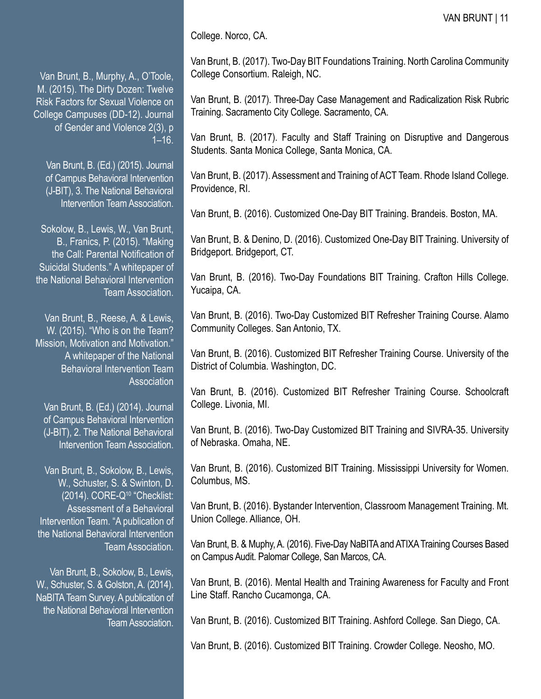College. Norco, CA.

Van Brunt, B., Murphy, A., O'Toole, M. (2015). The Dirty Dozen: Twelve Risk Factors for Sexual Violence on College Campuses (DD-12). Journal of Gender and Violence 2(3), p  $1 - 16$ .

Van Brunt, B. (Ed.) (2015). Journal of Campus Behavioral Intervention (J-BIT), 3. The National Behavioral Intervention Team Association.

Sokolow, B., Lewis, W., Van Brunt, B., Franics, P. (2015). "Making the Call: Parental Notification of Suicidal Students." A whitepaper of the National Behavioral Intervention Team Association.

Van Brunt, B., Reese, A. & Lewis, W. (2015). "Who is on the Team? Mission, Motivation and Motivation." A whitepaper of the National Behavioral Intervention Team **Association** 

Van Brunt, B. (Ed.) (2014). Journal of Campus Behavioral Intervention (J-BIT), 2. The National Behavioral Intervention Team Association.

Van Brunt, B., Sokolow, B., Lewis, W., Schuster, S. & Swinton, D. (2014). CORE-Q10 "Checklist: Assessment of a Behavioral Intervention Team. "A publication of the National Behavioral Intervention Team Association.

Van Brunt, B., Sokolow, B., Lewis, W., Schuster, S. & Golston, A. (2014). NaBITA Team Survey. A publication of the National Behavioral Intervention Team Association. Van Brunt, B. (2017). Two-Day BIT Foundations Training. North Carolina Community College Consortium. Raleigh, NC.

Van Brunt, B. (2017). Three-Day Case Management and Radicalization Risk Rubric Training. Sacramento City College. Sacramento, CA.

Van Brunt, B. (2017). Faculty and Staff Training on Disruptive and Dangerous Students. Santa Monica College, Santa Monica, CA.

Van Brunt, B. (2017). Assessment and Training of ACT Team. Rhode Island College. Providence, RI.

Van Brunt, B. (2016). Customized One-Day BIT Training. Brandeis. Boston, MA.

Van Brunt, B. & Denino, D. (2016). Customized One-Day BIT Training. University of Bridgeport. Bridgeport, CT.

Van Brunt, B. (2016). Two-Day Foundations BIT Training. Crafton Hills College. Yucaipa, CA.

Van Brunt, B. (2016). Two-Day Customized BIT Refresher Training Course. Alamo Community Colleges. San Antonio, TX.

Van Brunt, B. (2016). Customized BIT Refresher Training Course. University of the District of Columbia. Washington, DC.

Van Brunt, B. (2016). Customized BIT Refresher Training Course. Schoolcraft College. Livonia, MI.

Van Brunt, B. (2016). Two-Day Customized BIT Training and SIVRA-35. University of Nebraska. Omaha, NE.

Van Brunt, B. (2016). Customized BIT Training. Mississippi University for Women. Columbus, MS.

Van Brunt, B. (2016). Bystander Intervention, Classroom Management Training. Mt. Union College. Alliance, OH.

Van Brunt, B. & Muphy, A. (2016). Five-Day NaBITA and ATIXA Training Courses Based on Campus Audit. Palomar College, San Marcos, CA.

Van Brunt, B. (2016). Mental Health and Training Awareness for Faculty and Front Line Staff. Rancho Cucamonga, CA.

Van Brunt, B. (2016). Customized BIT Training. Ashford College. San Diego, CA.

Van Brunt, B. (2016). Customized BIT Training. Crowder College. Neosho, MO.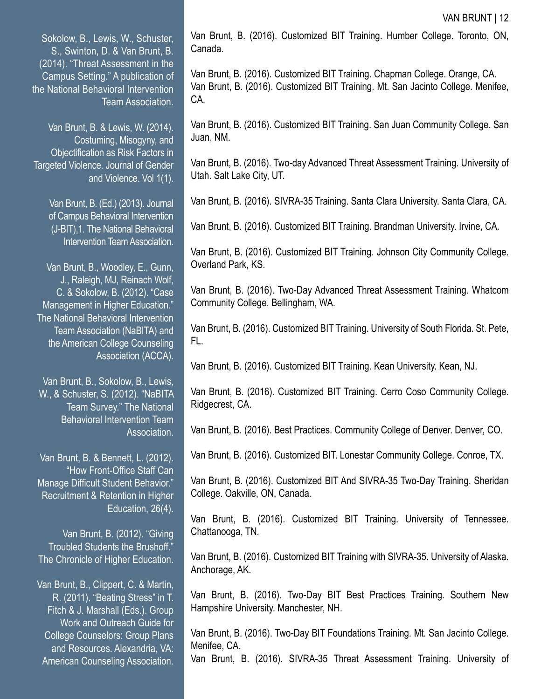Sokolow, B., Lewis, W., Schuster, S., Swinton, D. & Van Brunt, B. (2014). "Threat Assessment in the Campus Setting." A publication of the National Behavioral Intervention Team Association.

Van Brunt, B. & Lewis, W. (2014). Costuming, Misogyny, and Objectification as Risk Factors in Targeted Violence. Journal of Gender and Violence. Vol 1(1).

Van Brunt, B. (Ed.) (2013). Journal of Campus Behavioral Intervention (J-BIT),1. The National Behavioral Intervention Team Association.

Van Brunt, B., Woodley, E., Gunn, J., Raleigh, MJ, Reinach Wolf, C. & Sokolow, B. (2012). "Case Management in Higher Education." The National Behavioral Intervention Team Association (NaBITA) and the American College Counseling Association (ACCA).

Van Brunt, B., Sokolow, B., Lewis, W., & Schuster, S. (2012). "NaBITA Team Survey." The National Behavioral Intervention Team Association.

Van Brunt, B. & Bennett, L. (2012). "How Front-Office Staff Can Manage Difficult Student Behavior." Recruitment & Retention in Higher Education, 26(4).

Van Brunt, B. (2012). "Giving Troubled Students the Brushoff." The Chronicle of Higher Education.

Van Brunt, B., Clippert, C. & Martin, R. (2011). "Beating Stress" in T. Fitch & J. Marshall (Eds.). Group Work and Outreach Guide for College Counselors: Group Plans and Resources. Alexandria, VA: American Counseling Association. Van Brunt, B. (2016). Customized BIT Training. Humber College. Toronto, ON, Canada.

Van Brunt, B. (2016). Customized BIT Training. Chapman College. Orange, CA. Van Brunt, B. (2016). Customized BIT Training. Mt. San Jacinto College. Menifee, CA.

Van Brunt, B. (2016). Customized BIT Training. San Juan Community College. San Juan, NM.

Van Brunt, B. (2016). Two-day Advanced Threat Assessment Training. University of Utah. Salt Lake City, UT.

Van Brunt, B. (2016). SIVRA-35 Training. Santa Clara University. Santa Clara, CA.

Van Brunt, B. (2016). Customized BIT Training. Brandman University. Irvine, CA.

Van Brunt, B. (2016). Customized BIT Training. Johnson City Community College. Overland Park, KS.

Van Brunt, B. (2016). Two-Day Advanced Threat Assessment Training. Whatcom Community College. Bellingham, WA.

Van Brunt, B. (2016). Customized BIT Training. University of South Florida. St. Pete, FL.

Van Brunt, B. (2016). Customized BIT Training. Kean University. Kean, NJ.

Van Brunt, B. (2016). Customized BIT Training. Cerro Coso Community College. Ridgecrest, CA.

Van Brunt, B. (2016). Best Practices. Community College of Denver. Denver, CO.

Van Brunt, B. (2016). Customized BIT. Lonestar Community College. Conroe, TX.

Van Brunt, B. (2016). Customized BIT And SIVRA-35 Two-Day Training. Sheridan College. Oakville, ON, Canada.

Van Brunt, B. (2016). Customized BIT Training. University of Tennessee. Chattanooga, TN.

Van Brunt, B. (2016). Customized BIT Training with SIVRA-35. University of Alaska. Anchorage, AK.

Van Brunt, B. (2016). Two-Day BIT Best Practices Training. Southern New Hampshire University. Manchester, NH.

Van Brunt, B. (2016). Two-Day BIT Foundations Training. Mt. San Jacinto College. Menifee, CA.

Van Brunt, B. (2016). SIVRA-35 Threat Assessment Training. University of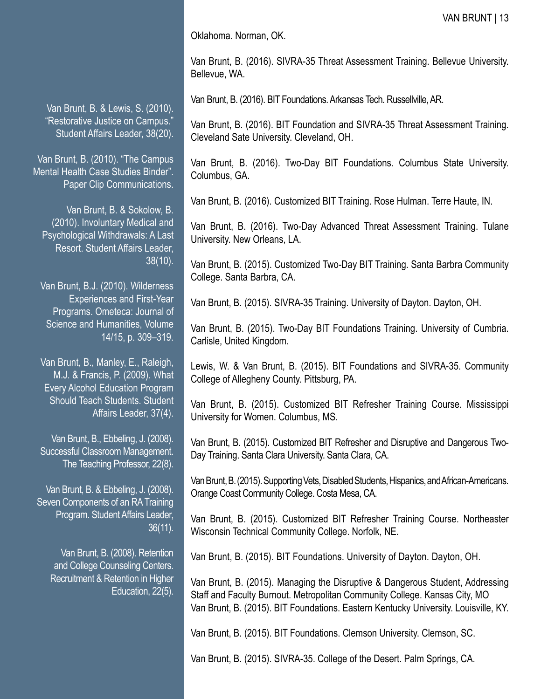Oklahoma. Norman, OK.

Van Brunt, B. (2016). SIVRA-35 Threat Assessment Training. Bellevue University. Bellevue, WA.

Van Brunt, B. (2016). BIT Foundations. Arkansas Tech. Russellville, AR.

Van Brunt, B. (2016). BIT Foundation and SIVRA-35 Threat Assessment Training. Cleveland Sate University. Cleveland, OH.

Van Brunt, B. (2016). Two-Day BIT Foundations. Columbus State University. Columbus, GA.

Van Brunt, B. (2016). Customized BIT Training. Rose Hulman. Terre Haute, IN.

Van Brunt, B. (2016). Two-Day Advanced Threat Assessment Training. Tulane University. New Orleans, LA.

Van Brunt, B. (2015). Customized Two-Day BIT Training. Santa Barbra Community College. Santa Barbra, CA.

Van Brunt, B. (2015). SIVRA-35 Training. University of Dayton. Dayton, OH.

Van Brunt, B. (2015). Two-Day BIT Foundations Training. University of Cumbria. Carlisle, United Kingdom.

Lewis, W. & Van Brunt, B. (2015). BIT Foundations and SIVRA-35. Community College of Allegheny County. Pittsburg, PA.

Van Brunt, B. (2015). Customized BIT Refresher Training Course. Mississippi University for Women. Columbus, MS.

Van Brunt, B. (2015). Customized BIT Refresher and Disruptive and Dangerous Two-Day Training. Santa Clara University. Santa Clara, CA.

Van Brunt, B. (2015). Supporting Vets, Disabled Students, Hispanics, and African-Americans. Orange Coast Community College. Costa Mesa, CA.

Van Brunt, B. (2015). Customized BIT Refresher Training Course. Northeaster Wisconsin Technical Community College. Norfolk, NE.

Van Brunt, B. (2015). BIT Foundations. University of Dayton. Dayton, OH.

Van Brunt, B. (2015). Managing the Disruptive & Dangerous Student, Addressing Staff and Faculty Burnout. Metropolitan Community College. Kansas City, MO Van Brunt, B. (2015). BIT Foundations. Eastern Kentucky University. Louisville, KY.

Van Brunt, B. (2015). BIT Foundations. Clemson University. Clemson, SC.

Van Brunt, B. (2015). SIVRA-35. College of the Desert. Palm Springs, CA.

Van Brunt, B. & Lewis, S. (2010). "Restorative Justice on Campus." Student Affairs Leader, 38(20).

Van Brunt, B. (2010). "The Campus Mental Health Case Studies Binder". Paper Clip Communications.

Van Brunt, B. & Sokolow, B. (2010). Involuntary Medical and Psychological Withdrawals: A Last Resort. Student Affairs Leader, 38(10).

Van Brunt, B.J. (2010). Wilderness Experiences and First-Year Programs. Ometeca: Journal of Science and Humanities, Volume 14/15, p. 309–319.

Van Brunt, B., Manley, E., Raleigh, M.J. & Francis, P. (2009). What Every Alcohol Education Program Should Teach Students. Student Affairs Leader, 37(4).

Van Brunt, B., Ebbeling, J. (2008). Successful Classroom Management. The Teaching Professor, 22(8).

Van Brunt, B. & Ebbeling, J. (2008). Seven Components of an RA Training Program. Student Affairs Leader, 36(11).

Van Brunt, B. (2008). Retention and College Counseling Centers. Recruitment & Retention in Higher Education, 22(5).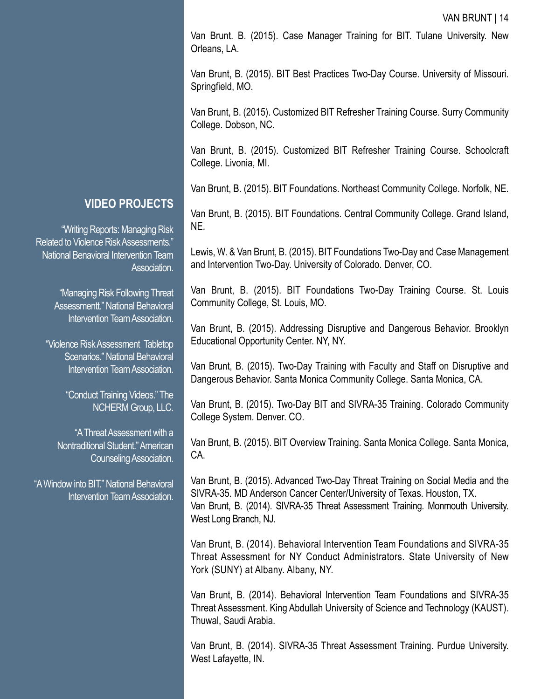Van Brunt. B. (2015). Case Manager Training for BIT. Tulane University. New Orleans, LA.

Van Brunt, B. (2015). BIT Best Practices Two-Day Course. University of Missouri. Springfield, MO.

Van Brunt, B. (2015). Customized BIT Refresher Training Course. Surry Community College. Dobson, NC.

Van Brunt, B. (2015). Customized BIT Refresher Training Course. Schoolcraft College. Livonia, MI.

Van Brunt, B. (2015). BIT Foundations. Northeast Community College. Norfolk, NE.

Van Brunt, B. (2015). BIT Foundations. Central Community College. Grand Island, NE.

Lewis, W. & Van Brunt, B. (2015). BIT Foundations Two-Day and Case Management and Intervention Two-Day. University of Colorado. Denver, CO.

Van Brunt, B. (2015). BIT Foundations Two-Day Training Course. St. Louis Community College, St. Louis, MO.

Van Brunt, B. (2015). Addressing Disruptive and Dangerous Behavior. Brooklyn Educational Opportunity Center. NY, NY.

Van Brunt, B. (2015). Two-Day Training with Faculty and Staff on Disruptive and Dangerous Behavior. Santa Monica Community College. Santa Monica, CA.

Van Brunt, B. (2015). Two-Day BIT and SIVRA-35 Training. Colorado Community College System. Denver. CO.

Van Brunt, B. (2015). BIT Overview Training. Santa Monica College. Santa Monica, CA.

Van Brunt, B. (2015). Advanced Two-Day Threat Training on Social Media and the SIVRA-35. MD Anderson Cancer Center/University of Texas. Houston, TX. Van Brunt, B. (2014). SIVRA-35 Threat Assessment Training. Monmouth University. West Long Branch, NJ.

Van Brunt, B. (2014). Behavioral Intervention Team Foundations and SIVRA-35 Threat Assessment for NY Conduct Administrators. State University of New York (SUNY) at Albany. Albany, NY.

Van Brunt, B. (2014). Behavioral Intervention Team Foundations and SIVRA-35 Threat Assessment. King Abdullah University of Science and Technology (KAUST). Thuwal, Saudi Arabia.

Van Brunt, B. (2014). SIVRA-35 Threat Assessment Training. Purdue University. West Lafayette, IN.

## **VIDEO PROJECTS**

"Writing Reports: Managing Risk Related to Violence Risk Assessments." National Benavioral Intervention Team Association.

> "Managing Risk Following Threat Assessmentt." National Behavioral Intervention Team Association.

"Violence Risk Assessment Tabletop Scenarios." National Behavioral Intervention Team Association.

> "Conduct Training Videos." The NCHERM Group, LLC.

"A Threat Assessment with a Nontraditional Student." American Counseling Association.

"A Window into BIT." National Behavioral Intervention Team Association.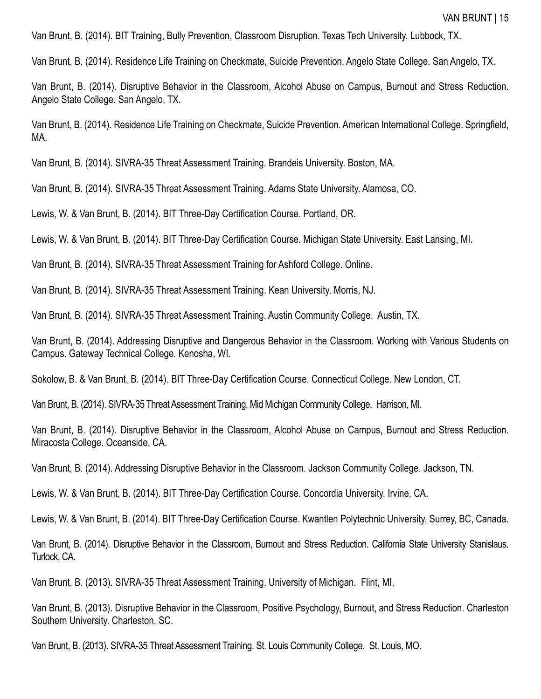Van Brunt, B. (2014). BIT Training, Bully Prevention, Classroom Disruption. Texas Tech University. Lubbock, TX.

Van Brunt, B. (2014). Residence Life Training on Checkmate, Suicide Prevention. Angelo State College. San Angelo, TX.

Van Brunt, B. (2014). Disruptive Behavior in the Classroom, Alcohol Abuse on Campus, Burnout and Stress Reduction. Angelo State College. San Angelo, TX.

Van Brunt, B. (2014). Residence Life Training on Checkmate, Suicide Prevention. American International College. Springfield, MA.

Van Brunt, B. (2014). SIVRA-35 Threat Assessment Training. Brandeis University. Boston, MA.

Van Brunt, B. (2014). SIVRA-35 Threat Assessment Training. Adams State University. Alamosa, CO.

Lewis, W. & Van Brunt, B. (2014). BIT Three-Day Certification Course. Portland, OR.

Lewis, W. & Van Brunt, B. (2014). BIT Three-Day Certification Course. Michigan State University. East Lansing, MI.

Van Brunt, B. (2014). SIVRA-35 Threat Assessment Training for Ashford College. Online.

Van Brunt, B. (2014). SIVRA-35 Threat Assessment Training. Kean University. Morris, NJ.

Van Brunt, B. (2014). SIVRA-35 Threat Assessment Training. Austin Community College. Austin, TX.

Van Brunt, B. (2014). Addressing Disruptive and Dangerous Behavior in the Classroom. Working with Various Students on Campus. Gateway Technical College. Kenosha, WI.

Sokolow, B. & Van Brunt, B. (2014). BIT Three-Day Certification Course. Connecticut College. New London, CT.

Van Brunt, B. (2014). SIVRA-35 Threat Assessment Training. Mid Michigan Community College. Harrison, MI.

Van Brunt, B. (2014). Disruptive Behavior in the Classroom, Alcohol Abuse on Campus, Burnout and Stress Reduction. Miracosta College. Oceanside, CA.

Van Brunt, B. (2014). Addressing Disruptive Behavior in the Classroom. Jackson Community College. Jackson, TN.

Lewis, W. & Van Brunt, B. (2014). BIT Three-Day Certification Course. Concordia University. Irvine, CA.

Lewis, W. & Van Brunt, B. (2014). BIT Three-Day Certification Course. Kwantlen Polytechnic University. Surrey, BC, Canada.

Van Brunt, B. (2014). Disruptive Behavior in the Classroom, Burnout and Stress Reduction. California State University Stanislaus. Turlock, CA.

Van Brunt, B. (2013). SIVRA-35 Threat Assessment Training. University of Michigan. Flint, MI.

Van Brunt, B. (2013). Disruptive Behavior in the Classroom, Positive Psychology, Burnout, and Stress Reduction. Charleston Southern University. Charleston, SC.

Van Brunt, B. (2013). SIVRA-35 Threat Assessment Training. St. Louis Community College. St. Louis, MO.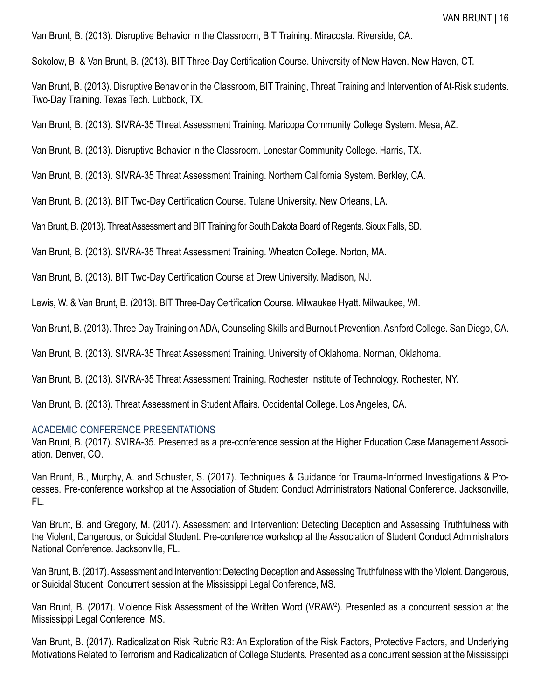Van Brunt, B. (2013). Disruptive Behavior in the Classroom, BIT Training. Miracosta. Riverside, CA.

Sokolow, B. & Van Brunt, B. (2013). BIT Three-Day Certification Course. University of New Haven. New Haven, CT.

Van Brunt, B. (2013). Disruptive Behavior in the Classroom, BIT Training, Threat Training and Intervention of At-Risk students. Two-Day Training. Texas Tech. Lubbock, TX.

Van Brunt, B. (2013). SIVRA-35 Threat Assessment Training. Maricopa Community College System. Mesa, AZ.

Van Brunt, B. (2013). Disruptive Behavior in the Classroom. Lonestar Community College. Harris, TX.

Van Brunt, B. (2013). SIVRA-35 Threat Assessment Training. Northern California System. Berkley, CA.

Van Brunt, B. (2013). BIT Two-Day Certification Course. Tulane University. New Orleans, LA.

Van Brunt, B. (2013). Threat Assessment and BIT Training for South Dakota Board of Regents. Sioux Falls, SD.

Van Brunt, B. (2013). SIVRA-35 Threat Assessment Training. Wheaton College. Norton, MA.

Van Brunt, B. (2013). BIT Two-Day Certification Course at Drew University. Madison, NJ.

Lewis, W. & Van Brunt, B. (2013). BIT Three-Day Certification Course. Milwaukee Hyatt. Milwaukee, WI.

Van Brunt, B. (2013). Three Day Training on ADA, Counseling Skills and Burnout Prevention. Ashford College. San Diego, CA.

Van Brunt, B. (2013). SIVRA-35 Threat Assessment Training. University of Oklahoma. Norman, Oklahoma.

Van Brunt, B. (2013). SIVRA-35 Threat Assessment Training. Rochester Institute of Technology. Rochester, NY.

Van Brunt, B. (2013). Threat Assessment in Student Affairs. Occidental College. Los Angeles, CA.

#### ACADEMIC CONFERENCE PRESENTATIONS

Van Brunt, B. (2017). SVIRA-35. Presented as a pre-conference session at the Higher Education Case Management Association. Denver, CO.

Van Brunt, B., Murphy, A. and Schuster, S. (2017). Techniques & Guidance for Trauma-Informed Investigations & Processes. Pre-conference workshop at the Association of Student Conduct Administrators National Conference. Jacksonville, FL.

Van Brunt, B. and Gregory, M. (2017). Assessment and Intervention: Detecting Deception and Assessing Truthfulness with the Violent, Dangerous, or Suicidal Student. Pre-conference workshop at the Association of Student Conduct Administrators National Conference. Jacksonville, FL.

Van Brunt, B. (2017). Assessment and Intervention: Detecting Deception and Assessing Truthfulness with the Violent, Dangerous, or Suicidal Student. Concurrent session at the Mississippi Legal Conference, MS.

Van Brunt, B. (2017). Violence Risk Assessment of the Written Word (VRAW<sup>2</sup>). Presented as a concurrent session at the Mississippi Legal Conference, MS.

Van Brunt, B. (2017). Radicalization Risk Rubric R3: An Exploration of the Risk Factors, Protective Factors, and Underlying Motivations Related to Terrorism and Radicalization of College Students. Presented as a concurrent session at the Mississippi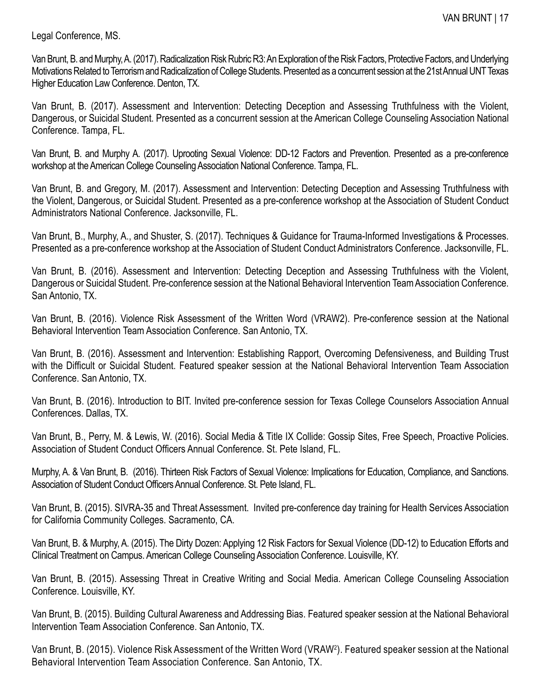Legal Conference, MS.

Van Brunt, B. and Murphy, A. (2017). Radicalization Risk Rubric R3: An Exploration of the Risk Factors, Protective Factors, and Underlying Motivations Related to Terrorism and Radicalization of College Students. Presented as a concurrent session at the 21st Annual UNT Texas Higher Education Law Conference. Denton, TX.

Van Brunt, B. (2017). Assessment and Intervention: Detecting Deception and Assessing Truthfulness with the Violent, Dangerous, or Suicidal Student. Presented as a concurrent session at the American College Counseling Association National Conference. Tampa, FL.

Van Brunt, B. and Murphy A. (2017). Uprooting Sexual Violence: DD-12 Factors and Prevention. Presented as a pre-conference workshop at the American College Counseling Association National Conference. Tampa, FL.

Van Brunt, B. and Gregory, M. (2017). Assessment and Intervention: Detecting Deception and Assessing Truthfulness with the Violent, Dangerous, or Suicidal Student. Presented as a pre-conference workshop at the Association of Student Conduct Administrators National Conference. Jacksonville, FL.

Van Brunt, B., Murphy, A., and Shuster, S. (2017). Techniques & Guidance for Trauma-Informed Investigations & Processes. Presented as a pre-conference workshop at the Association of Student Conduct Administrators Conference. Jacksonville, FL.

Van Brunt, B. (2016). Assessment and Intervention: Detecting Deception and Assessing Truthfulness with the Violent, Dangerous or Suicidal Student. Pre-conference session at the National Behavioral Intervention Team Association Conference. San Antonio, TX.

Van Brunt, B. (2016). Violence Risk Assessment of the Written Word (VRAW2). Pre-conference session at the National Behavioral Intervention Team Association Conference. San Antonio, TX.

Van Brunt, B. (2016). Assessment and Intervention: Establishing Rapport, Overcoming Defensiveness, and Building Trust with the Difficult or Suicidal Student. Featured speaker session at the National Behavioral Intervention Team Association Conference. San Antonio, TX.

Van Brunt, B. (2016). Introduction to BIT. Invited pre-conference session for Texas College Counselors Association Annual Conferences. Dallas, TX.

Van Brunt, B., Perry, M. & Lewis, W. (2016). Social Media & Title IX Collide: Gossip Sites, Free Speech, Proactive Policies. Association of Student Conduct Officers Annual Conference. St. Pete Island, FL.

Murphy, A. & Van Brunt, B. (2016). Thirteen Risk Factors of Sexual Violence: Implications for Education, Compliance, and Sanctions. Association of Student Conduct Officers Annual Conference. St. Pete Island, FL.

Van Brunt, B. (2015). SIVRA-35 and Threat Assessment. Invited pre-conference day training for Health Services Association for California Community Colleges. Sacramento, CA.

Van Brunt, B. & Murphy, A. (2015). The Dirty Dozen: Applying 12 Risk Factors for Sexual Violence (DD-12) to Education Efforts and Clinical Treatment on Campus. American College Counseling Association Conference. Louisville, KY.

Van Brunt, B. (2015). Assessing Threat in Creative Writing and Social Media. American College Counseling Association Conference. Louisville, KY.

Van Brunt, B. (2015). Building Cultural Awareness and Addressing Bias. Featured speaker session at the National Behavioral Intervention Team Association Conference. San Antonio, TX.

Van Brunt, B. (2015). Violence Risk Assessment of the Written Word (VRAW<sup>2</sup> ). Featured speaker session at the National Behavioral Intervention Team Association Conference. San Antonio, TX.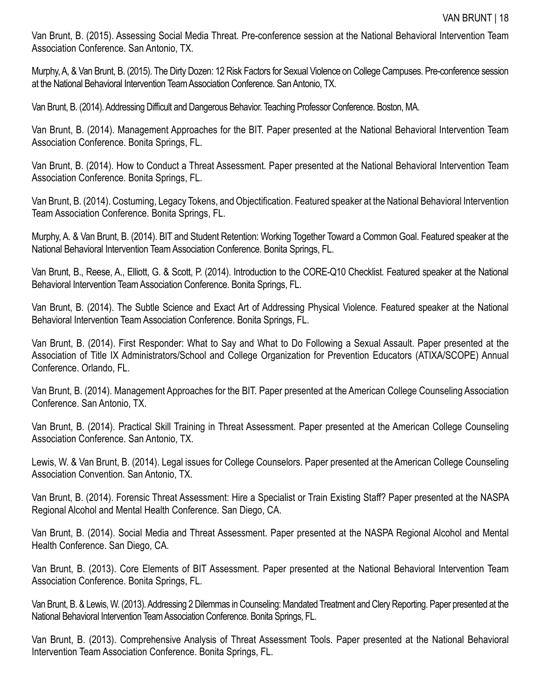Van Brunt, B. (2015). Assessing Social Media Threat. Pre-conference session at the National Behavioral Intervention Team Association Conference. San Antonio, TX.

Murphy, A, & Van Brunt, B. (2015). The Dirty Dozen: 12 Risk Factors for Sexual Violence on College Campuses. Pre-conference session at the National Behavioral Intervention Team Association Conference. San Antonio, TX.

Van Brunt, B. (2014). Addressing Difficult and Dangerous Behavior. Teaching Professor Conference. Boston, MA.

Van Brunt, B. (2014). Management Approaches for the BIT. Paper presented at the National Behavioral Intervention Team Association Conference. Bonita Springs, FL.

Van Brunt, B. (2014). How to Conduct a Threat Assessment. Paper presented at the National Behavioral Intervention Team Association Conference. Bonita Springs, FL.

Van Brunt, B. (2014). Costuming, Legacy Tokens, and Objectification. Featured speaker at the National Behavioral Intervention Team Association Conference. Bonita Springs, FL.

Murphy, A. & Van Brunt, B. (2014). BIT and Student Retention: Working Together Toward a Common Goal. Featured speaker at the National Behavioral Intervention Team Association Conference. Bonita Springs, FL.

Van Brunt, B., Reese, A., Elliott, G. & Scott, P. (2014). Introduction to the CORE-Q10 Checklist. Featured speaker at the National Behavioral Intervention Team Association Conference. Bonita Springs, FL.

Van Brunt, B. (2014). The Subtle Science and Exact Art of Addressing Physical Violence. Featured speaker at the National Behavioral Intervention Team Association Conference. Bonita Springs, FL.

Van Brunt, B. (2014). First Responder: What to Say and What to Do Following a Sexual Assault. Paper presented at the Association of Title IX Administrators/School and College Organization for Prevention Educators (ATIXA/SCOPE) Annual Conference. Orlando, FL.

Van Brunt, B. (2014). Management Approaches for the BIT. Paper presented at the American College Counseling Association Conference. San Antonio, TX.

Van Brunt, B. (2014). Practical Skill Training in Threat Assessment. Paper presented at the American College Counseling Association Conference. San Antonio, TX.

Lewis, W. & Van Brunt, B. (2014). Legal issues for College Counselors. Paper presented at the American College Counseling Association Convention. San Antonio, TX.

Van Brunt, B. (2014). Forensic Threat Assessment: Hire a Specialist or Train Existing Staff? Paper presented at the NASPA Regional Alcohol and Mental Health Conference. San Diego, CA.

Van Brunt, B. (2014). Social Media and Threat Assessment. Paper presented at the NASPA Regional Alcohol and Mental Health Conference. San Diego, CA.

Van Brunt, B. (2013). Core Elements of BIT Assessment. Paper presented at the National Behavioral Intervention Team Association Conference. Bonita Springs, FL.

Van Brunt, B. & Lewis, W. (2013). Addressing 2 Dilemmas in Counseling: Mandated Treatment and Clery Reporting. Paper presented at the National Behavioral Intervention Team Association Conference. Bonita Springs, FL.

Van Brunt, B. (2013). Comprehensive Analysis of Threat Assessment Tools. Paper presented at the National Behavioral Intervention Team Association Conference. Bonita Springs, FL.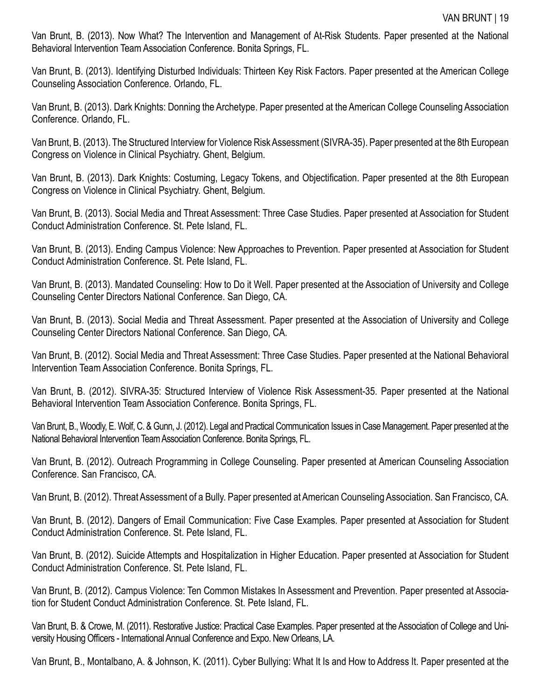Van Brunt, B. (2013). Now What? The Intervention and Management of At-Risk Students. Paper presented at the National Behavioral Intervention Team Association Conference. Bonita Springs, FL.

Van Brunt, B. (2013). Identifying Disturbed Individuals: Thirteen Key Risk Factors. Paper presented at the American College Counseling Association Conference. Orlando, FL.

Van Brunt, B. (2013). Dark Knights: Donning the Archetype. Paper presented at the American College Counseling Association Conference. Orlando, FL.

Van Brunt, B. (2013). The Structured Interview for Violence Risk Assessment (SIVRA-35). Paper presented at the 8th European Congress on Violence in Clinical Psychiatry. Ghent, Belgium.

Van Brunt, B. (2013). Dark Knights: Costuming, Legacy Tokens, and Objectification. Paper presented at the 8th European Congress on Violence in Clinical Psychiatry. Ghent, Belgium.

Van Brunt, B. (2013). Social Media and Threat Assessment: Three Case Studies. Paper presented at Association for Student Conduct Administration Conference. St. Pete Island, FL.

Van Brunt, B. (2013). Ending Campus Violence: New Approaches to Prevention. Paper presented at Association for Student Conduct Administration Conference. St. Pete Island, FL.

Van Brunt, B. (2013). Mandated Counseling: How to Do it Well. Paper presented at the Association of University and College Counseling Center Directors National Conference. San Diego, CA.

Van Brunt, B. (2013). Social Media and Threat Assessment. Paper presented at the Association of University and College Counseling Center Directors National Conference. San Diego, CA.

Van Brunt, B. (2012). Social Media and Threat Assessment: Three Case Studies. Paper presented at the National Behavioral Intervention Team Association Conference. Bonita Springs, FL.

Van Brunt, B. (2012). SIVRA-35: Structured Interview of Violence Risk Assessment-35. Paper presented at the National Behavioral Intervention Team Association Conference. Bonita Springs, FL.

Van Brunt, B., Woodly, E. Wolf, C. & Gunn, J. (2012). Legal and Practical Communication Issues in Case Management. Paper presented at the National Behavioral Intervention Team Association Conference. Bonita Springs, FL.

Van Brunt, B. (2012). Outreach Programming in College Counseling. Paper presented at American Counseling Association Conference. San Francisco, CA.

Van Brunt, B. (2012). Threat Assessment of a Bully. Paper presented at American Counseling Association. San Francisco, CA.

Van Brunt, B. (2012). Dangers of Email Communication: Five Case Examples. Paper presented at Association for Student Conduct Administration Conference. St. Pete Island, FL.

Van Brunt, B. (2012). Suicide Attempts and Hospitalization in Higher Education. Paper presented at Association for Student Conduct Administration Conference. St. Pete Island, FL.

Van Brunt, B. (2012). Campus Violence: Ten Common Mistakes In Assessment and Prevention. Paper presented at Association for Student Conduct Administration Conference. St. Pete Island, FL.

Van Brunt, B. & Crowe, M. (2011). Restorative Justice: Practical Case Examples. Paper presented at the Association of College and University Housing Officers - International Annual Conference and Expo. New Orleans, LA.

Van Brunt, B., Montalbano, A. & Johnson, K. (2011). Cyber Bullying: What It Is and How to Address It. Paper presented at the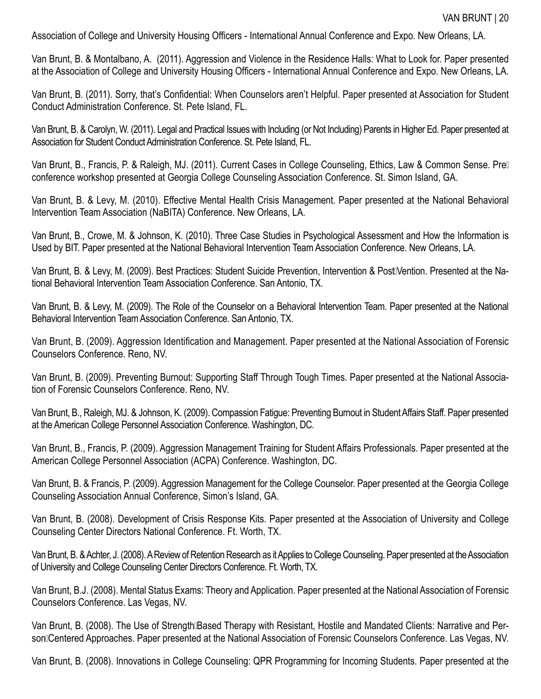Association of College and University Housing Officers - International Annual Conference and Expo. New Orleans, LA.

Van Brunt, B. & Montalbano, A. (2011). Aggression and Violence in the Residence Halls: What to Look for. Paper presented at the Association of College and University Housing Officers - International Annual Conference and Expo. New Orleans, LA.

Van Brunt, B. (2011). Sorry, that's Confidential: When Counselors aren't Helpful. Paper presented at Association for Student Conduct Administration Conference. St. Pete Island, FL.

Van Brunt, B. & Carolyn, W. (2011). Legal and Practical Issues with Including (or Not Including) Parents in Higher Ed. Paper presented at Association for Student Conduct Administration Conference. St. Pete Island, FL.

Van Brunt, B., Francis, P. & Raleigh, MJ. (2011). Current Cases in College Counseling, Ethics, Law & Common Sense. Prell conference workshop presented at Georgia College Counseling Association Conference. St. Simon Island, GA.

Van Brunt, B. & Levy, M. (2010). Effective Mental Health Crisis Management. Paper presented at the National Behavioral Intervention Team Association (NaBITA) Conference. New Orleans, LA.

Van Brunt, B., Crowe, M. & Johnson, K. (2010). Three Case Studies in Psychological Assessment and How the Information is Used by BIT. Paper presented at the National Behavioral Intervention Team Association Conference. New Orleans, LA.

Van Brunt, B. & Levy, M. (2009). Best Practices: Student Suicide Prevention, Intervention & PostiVention. Presented at the National Behavioral Intervention Team Association Conference. San Antonio, TX.

Van Brunt, B. & Levy, M. (2009). The Role of the Counselor on a Behavioral Intervention Team. Paper presented at the National Behavioral Intervention Team Association Conference. San Antonio, TX.

Van Brunt, B. (2009). Aggression Identification and Management. Paper presented at the National Association of Forensic Counselors Conference. Reno, NV.

Van Brunt, B. (2009). Preventing Burnout: Supporting Staff Through Tough Times. Paper presented at the National Association of Forensic Counselors Conference. Reno, NV.

Van Brunt, B., Raleigh, MJ. & Johnson, K. (2009). Compassion Fatigue: Preventing Burnout in Student Affairs Staff. Paper presented at the American College Personnel Association Conference. Washington, DC.

Van Brunt, B., Francis, P. (2009). Aggression Management Training for Student Affairs Professionals. Paper presented at the American College Personnel Association (ACPA) Conference. Washington, DC.

Van Brunt, B. & Francis, P. (2009). Aggression Management for the College Counselor. Paper presented at the Georgia College Counseling Association Annual Conference, Simon's Island, GA.

Van Brunt, B. (2008). Development of Crisis Response Kits. Paper presented at the Association of University and College Counseling Center Directors National Conference. Ft. Worth, TX.

Van Brunt, B. & Achter, J. (2008). A Review of Retention Research as it Applies to College Counseling. Paper presented at the Association of University and College Counseling Center Directors Conference. Ft. Worth, TX.

Van Brunt, B.J. (2008). Mental Status Exams: Theory and Application. Paper presented at the National Association of Forensic Counselors Conference. Las Vegas, NV.

Van Brunt, B. (2008). The Use of Strength<sub>I</sub>Based Therapy with Resistant, Hostile and Mandated Clients: Narrative and Person<sup>[</sup>Centered Approaches. Paper presented at the National Association of Forensic Counselors Conference. Las Vegas, NV.

Van Brunt, B. (2008). Innovations in College Counseling: QPR Programming for Incoming Students. Paper presented at the